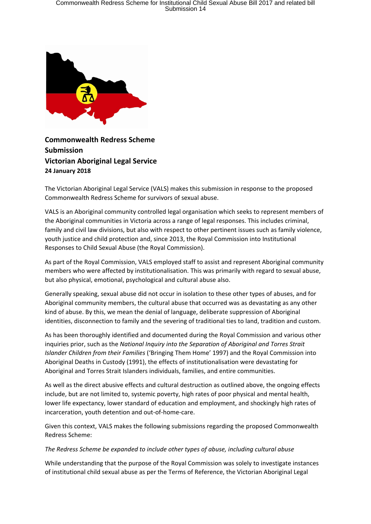

**Commonwealth Redress Scheme Submission Victorian Aboriginal Legal Service 24 January 2018**

The Victorian Aboriginal Legal Service (VALS) makes this submission in response to the proposed Commonwealth Redress Scheme for survivors of sexual abuse.

VALS is an Aboriginal community controlled legal organisation which seeks to represent members of the Aboriginal communities in Victoria across a range of legal responses. This includes criminal, family and civil law divisions, but also with respect to other pertinent issues such as family violence, youth justice and child protection and, since 2013, the Royal Commission into Institutional Responses to Child Sexual Abuse (the Royal Commission).

As part of the Royal Commission, VALS employed staff to assist and represent Aboriginal community members who were affected by institutionalisation. This was primarily with regard to sexual abuse, but also physical, emotional, psychological and cultural abuse also.

Generally speaking, sexual abuse did not occur in isolation to these other types of abuses, and for Aboriginal community members, the cultural abuse that occurred was as devastating as any other kind of abuse. By this, we mean the denial of language, deliberate suppression of Aboriginal identities, disconnection to family and the severing of traditional ties to land, tradition and custom.

As has been thoroughly identified and documented during the Royal Commission and various other inquiries prior, such as the *National Inquiry into the Separation of Aboriginal and Torres Strait Islander Children from their Families* ('Bringing Them Home' 1997) and the Royal Commission into Aboriginal Deaths in Custody (1991), the effects of institutionalisation were devastating for Aboriginal and Torres Strait Islanders individuals, families, and entire communities.

As well as the direct abusive effects and cultural destruction as outlined above, the ongoing effects include, but are not limited to, systemic poverty, high rates of poor physical and mental health, lower life expectancy, lower standard of education and employment, and shockingly high rates of incarceration, youth detention and out-of-home-care.

Given this context, VALS makes the following submissions regarding the proposed Commonwealth Redress Scheme:

# *The Redress Scheme be expanded to include other types of abuse, including cultural abuse*

While understanding that the purpose of the Royal Commission was solely to investigate instances of institutional child sexual abuse as per the Terms of Reference, the Victorian Aboriginal Legal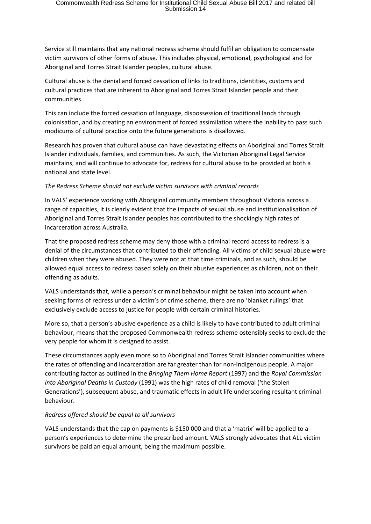Service still maintains that any national redress scheme should fulfil an obligation to compensate victim survivors of other forms of abuse. This includes physical, emotional, psychological and for Aboriginal and Torres Strait Islander peoples, cultural abuse.

Cultural abuse is the denial and forced cessation of links to traditions, identities, customs and cultural practices that are inherent to Aboriginal and Torres Strait Islander people and their communities.

This can include the forced cessation of language, dispossession of traditional lands through colonisation, and by creating an environment of forced assimilation where the inability to pass such modicums of cultural practice onto the future generations is disallowed.

Research has proven that cultural abuse can have devastating effects on Aboriginal and Torres Strait Islander individuals, families, and communities. As such, the Victorian Aboriginal Legal Service maintains, and will continue to advocate for, redress for cultural abuse to be provided at both a national and state level.

# *The Redress Scheme should not exclude victim survivors with criminal records*

In VALS' experience working with Aboriginal community members throughout Victoria across a range of capacities, it is clearly evident that the impacts of sexual abuse and institutionalisation of Aboriginal and Torres Strait Islander peoples has contributed to the shockingly high rates of incarceration across Australia.

That the proposed redress scheme may deny those with a criminal record access to redress is a denial of the circumstances that contributed to their offending. All victims of child sexual abuse were children when they were abused. They were not at that time criminals, and as such, should be allowed equal access to redress based solely on their abusive experiences as children, not on their offending as adults.

VALS understands that, while a person's criminal behaviour might be taken into account when seeking forms of redress under a victim's of crime scheme, there are no 'blanket rulings' that exclusively exclude access to justice for people with certain criminal histories.

More so, that a person's abusive experience as a child is likely to have contributed to adult criminal behaviour, means that the proposed Commonwealth redress scheme ostensibly seeks to exclude the very people for whom it is designed to assist.

These circumstances apply even more so to Aboriginal and Torres Strait Islander communities where the rates of offending and incarceration are far greater than for non-Indigenous people. A major contributing factor as outlined in the *Bringing Them Home Report* (1997) and the *Royal Commission into Aboriginal Deaths in Custody* (1991) was the high rates of child removal ('the Stolen Generations'), subsequent abuse, and traumatic effects in adult life underscoring resultant criminal behaviour.

#### *Redress offered should be equal to all survivors*

VALS understands that the cap on payments is \$150 000 and that a 'matrix' will be applied to a person's experiences to determine the prescribed amount. VALS strongly advocates that ALL victim survivors be paid an equal amount, being the maximum possible.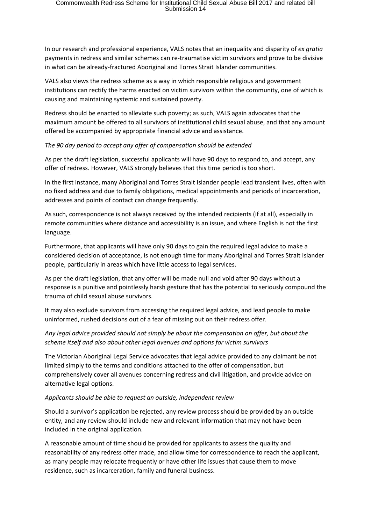In our research and professional experience, VALS notes that an inequality and disparity of *ex gratia* payments in redress and similar schemes can re-traumatise victim survivors and prove to be divisive in what can be already-fractured Aboriginal and Torres Strait Islander communities.

VALS also views the redress scheme as a way in which responsible religious and government institutions can rectify the harms enacted on victim survivors within the community, one of which is causing and maintaining systemic and sustained poverty.

Redress should be enacted to alleviate such poverty; as such, VALS again advocates that the maximum amount be offered to all survivors of institutional child sexual abuse, and that any amount offered be accompanied by appropriate financial advice and assistance.

*The 90 day period to accept any offer of compensation should be extended*

As per the draft legislation, successful applicants will have 90 days to respond to, and accept, any offer of redress. However, VALS strongly believes that this time period is too short.

In the first instance, many Aboriginal and Torres Strait Islander people lead transient lives, often with no fixed address and due to family obligations, medical appointments and periods of incarceration, addresses and points of contact can change frequently.

As such, correspondence is not always received by the intended recipients (if at all), especially in remote communities where distance and accessibility is an issue, and where English is not the first language.

Furthermore, that applicants will have only 90 days to gain the required legal advice to make a considered decision of acceptance, is not enough time for many Aboriginal and Torres Strait Islander people, particularly in areas which have little access to legal services.

As per the draft legislation, that any offer will be made null and void after 90 days without a response is a punitive and pointlessly harsh gesture that has the potential to seriously compound the trauma of child sexual abuse survivors.

It may also exclude survivors from accessing the required legal advice, and lead people to make uninformed, rushed decisions out of a fear of missing out on their redress offer.

# *Any legal advice provided should not simply be about the compensation on offer, but about the scheme itself and also about other legal avenues and options for victim survivors*

The Victorian Aboriginal Legal Service advocates that legal advice provided to any claimant be not limited simply to the terms and conditions attached to the offer of compensation, but comprehensively cover all avenues concerning redress and civil litigation, and provide advice on alternative legal options.

# *Applicants should be able to request an outside, independent review*

Should a survivor's application be rejected, any review process should be provided by an outside entity, and any review should include new and relevant information that may not have been included in the original application.

A reasonable amount of time should be provided for applicants to assess the quality and reasonability of any redress offer made, and allow time for correspondence to reach the applicant, as many people may relocate frequently or have other life issues that cause them to move residence, such as incarceration, family and funeral business.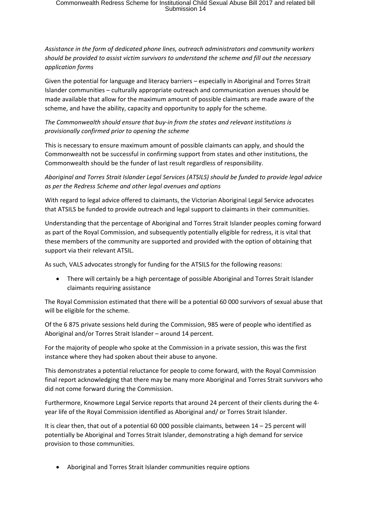# Commonwealth Redress Scheme for Institutional Child Sexual Abuse Bill 2017 and related bill<br>Submission 14

*Assistance in the form of dedicated phone lines, outreach administrators and community workers should be provided to assist victim survivors to understand the scheme and fill out the necessary application forms*

Given the potential for language and literacy barriers – especially in Aboriginal and Torres Strait Islander communities – culturally appropriate outreach and communication avenues should be made available that allow for the maximum amount of possible claimants are made aware of the scheme, and have the ability, capacity and opportunity to apply for the scheme.

*The Commonwealth should ensure that buy-in from the states and relevant institutions is provisionally confirmed prior to opening the scheme*

This is necessary to ensure maximum amount of possible claimants can apply, and should the Commonwealth not be successful in confirming support from states and other institutions, the Commonwealth should be the funder of last result regardless of responsibility.

*Aboriginal and Torres Strait Islander Legal Services (ATSILS) should be funded to provide legal advice as per the Redress Scheme and other legal avenues and options*

With regard to legal advice offered to claimants, the Victorian Aboriginal Legal Service advocates that ATSILS be funded to provide outreach and legal support to claimants in their communities.

Understanding that the percentage of Aboriginal and Torres Strait Islander peoples coming forward as part of the Royal Commission, and subsequently potentially eligible for redress, it is vital that these members of the community are supported and provided with the option of obtaining that support via their relevant ATSIL.

As such, VALS advocates strongly for funding for the ATSILS for the following reasons:

 There will certainly be a high percentage of possible Aboriginal and Torres Strait Islander claimants requiring assistance

The Royal Commission estimated that there will be a potential 60 000 survivors of sexual abuse that will be eligible for the scheme.

Of the 6 875 private sessions held during the Commission, 985 were of people who identified as Aboriginal and/or Torres Strait Islander – around 14 percent.

For the majority of people who spoke at the Commission in a private session, this was the first instance where they had spoken about their abuse to anyone.

This demonstrates a potential reluctance for people to come forward, with the Royal Commission final report acknowledging that there may be many more Aboriginal and Torres Strait survivors who did not come forward during the Commission.

Furthermore, Knowmore Legal Service reports that around 24 percent of their clients during the 4 year life of the Royal Commission identified as Aboriginal and/ or Torres Strait Islander.

It is clear then, that out of a potential 60 000 possible claimants, between 14 – 25 percent will potentially be Aboriginal and Torres Strait Islander, demonstrating a high demand for service provision to those communities.

Aboriginal and Torres Strait Islander communities require options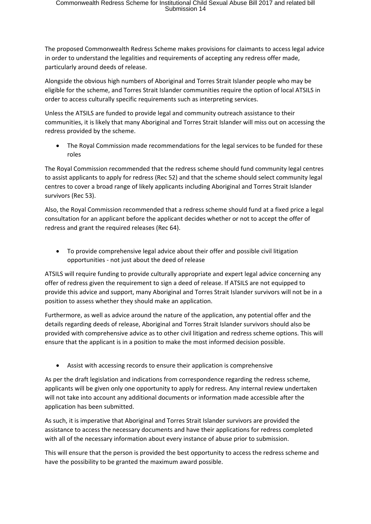The proposed Commonwealth Redress Scheme makes provisions for claimants to access legal advice in order to understand the legalities and requirements of accepting any redress offer made, particularly around deeds of release.

Alongside the obvious high numbers of Aboriginal and Torres Strait Islander people who may be eligible for the scheme, and Torres Strait Islander communities require the option of local ATSILS in order to access culturally specific requirements such as interpreting services.

Unless the ATSILS are funded to provide legal and community outreach assistance to their communities, it is likely that many Aboriginal and Torres Strait Islander will miss out on accessing the redress provided by the scheme.

 The Royal Commission made recommendations for the legal services to be funded for these roles

The Royal Commission recommended that the redress scheme should fund community legal centres to assist applicants to apply for redress (Rec 52) and that the scheme should select community legal centres to cover a broad range of likely applicants including Aboriginal and Torres Strait Islander survivors (Rec 53).

Also, the Royal Commission recommended that a redress scheme should fund at a fixed price a legal consultation for an applicant before the applicant decides whether or not to accept the offer of redress and grant the required releases (Rec 64).

 To provide comprehensive legal advice about their offer and possible civil litigation opportunities - not just about the deed of release

ATSILS will require funding to provide culturally appropriate and expert legal advice concerning any offer of redress given the requirement to sign a deed of release. If ATSILS are not equipped to provide this advice and support, many Aboriginal and Torres Strait Islander survivors will not be in a position to assess whether they should make an application.

Furthermore, as well as advice around the nature of the application, any potential offer and the details regarding deeds of release, Aboriginal and Torres Strait Islander survivors should also be provided with comprehensive advice as to other civil litigation and redress scheme options. This will ensure that the applicant is in a position to make the most informed decision possible.

Assist with accessing records to ensure their application is comprehensive

As per the draft legislation and indications from correspondence regarding the redress scheme, applicants will be given only one opportunity to apply for redress. Any internal review undertaken will not take into account any additional documents or information made accessible after the application has been submitted.

As such, it is imperative that Aboriginal and Torres Strait Islander survivors are provided the assistance to access the necessary documents and have their applications for redress completed with all of the necessary information about every instance of abuse prior to submission.

This will ensure that the person is provided the best opportunity to access the redress scheme and have the possibility to be granted the maximum award possible.